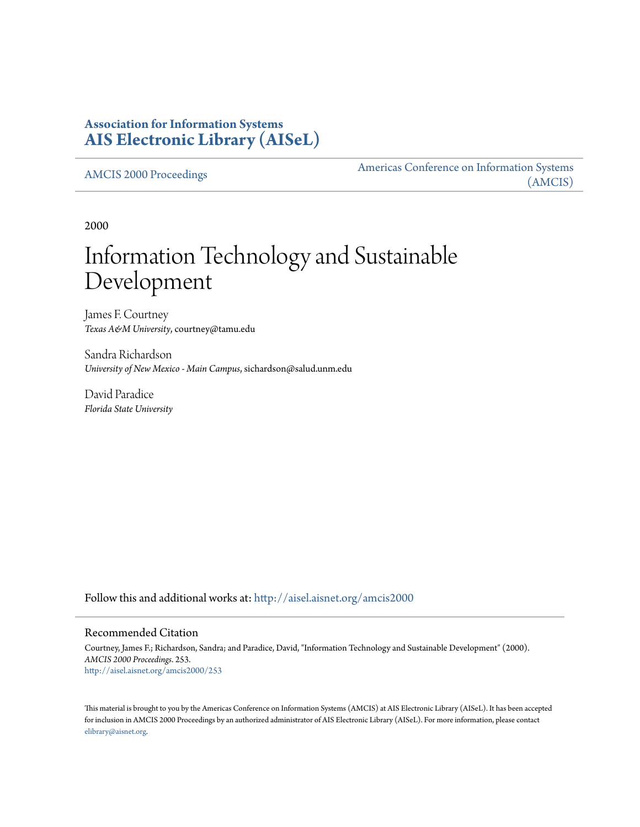# **Association for Information Systems [AIS Electronic Library \(AISeL\)](http://aisel.aisnet.org?utm_source=aisel.aisnet.org%2Famcis2000%2F253&utm_medium=PDF&utm_campaign=PDFCoverPages)**

[AMCIS 2000 Proceedings](http://aisel.aisnet.org/amcis2000?utm_source=aisel.aisnet.org%2Famcis2000%2F253&utm_medium=PDF&utm_campaign=PDFCoverPages)

[Americas Conference on Information Systems](http://aisel.aisnet.org/amcis?utm_source=aisel.aisnet.org%2Famcis2000%2F253&utm_medium=PDF&utm_campaign=PDFCoverPages) [\(AMCIS\)](http://aisel.aisnet.org/amcis?utm_source=aisel.aisnet.org%2Famcis2000%2F253&utm_medium=PDF&utm_campaign=PDFCoverPages)

2000

# Information Technology and Sustainable Development

James F. Courtney *Texas A&M University*, courtney@tamu.edu

Sandra Richardson *University of New Mexico - Main Campus*, sichardson@salud.unm.edu

David Paradice *Florida State University*

Follow this and additional works at: [http://aisel.aisnet.org/amcis2000](http://aisel.aisnet.org/amcis2000?utm_source=aisel.aisnet.org%2Famcis2000%2F253&utm_medium=PDF&utm_campaign=PDFCoverPages)

#### Recommended Citation

Courtney, James F.; Richardson, Sandra; and Paradice, David, "Information Technology and Sustainable Development" (2000). *AMCIS 2000 Proceedings*. 253. [http://aisel.aisnet.org/amcis2000/253](http://aisel.aisnet.org/amcis2000/253?utm_source=aisel.aisnet.org%2Famcis2000%2F253&utm_medium=PDF&utm_campaign=PDFCoverPages)

This material is brought to you by the Americas Conference on Information Systems (AMCIS) at AIS Electronic Library (AISeL). It has been accepted for inclusion in AMCIS 2000 Proceedings by an authorized administrator of AIS Electronic Library (AISeL). For more information, please contact [elibrary@aisnet.org.](mailto:elibrary@aisnet.org%3E)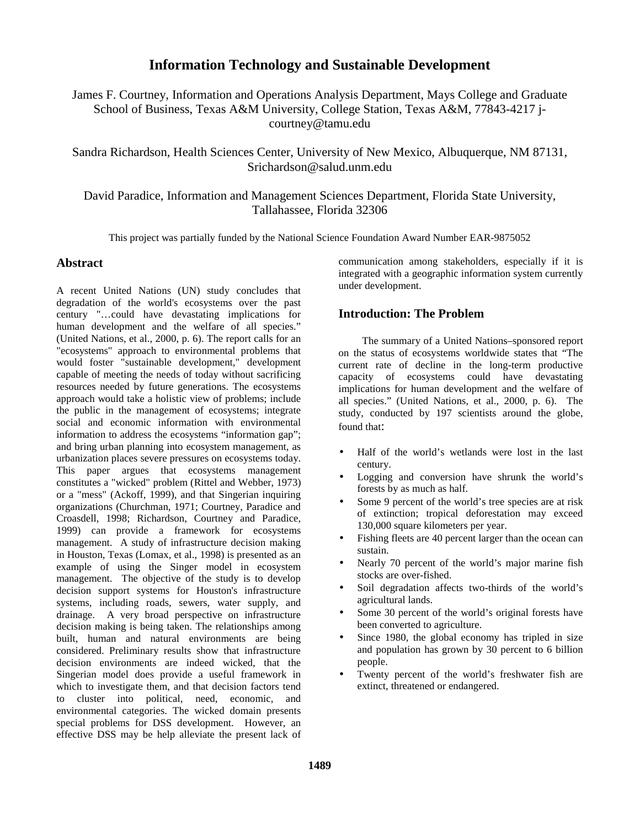# **Information Technology and Sustainable Development**

James F. Courtney, Information and Operations Analysis Department, Mays College and Graduate School of Business, Texas A&M University, College Station, Texas A&M, 77843-4217 jcourtney@tamu.edu

Sandra Richardson, Health Sciences Center, University of New Mexico, Albuquerque, NM 87131, Srichardson@salud.unm.edu

David Paradice, Information and Management Sciences Department, Florida State University, Tallahassee, Florida 32306

This project was partially funded by the National Science Foundation Award Number EAR-9875052

#### **Abstract**

A recent United Nations (UN) study concludes that degradation of the world's ecosystems over the past century "…could have devastating implications for human development and the welfare of all species." (United Nations, et al., 2000, p. 6). The report calls for an "ecosystems" approach to environmental problems that would foster "sustainable development," development capable of meeting the needs of today without sacrificing resources needed by future generations. The ecosystems approach would take a holistic view of problems; include the public in the management of ecosystems; integrate social and economic information with environmental information to address the ecosystems "information gap"; and bring urban planning into ecosystem management, as urbanization places severe pressures on ecosystems today. This paper argues that ecosystems management constitutes a "wicked" problem (Rittel and Webber, 1973) or a "mess" (Ackoff, 1999), and that Singerian inquiring organizations (Churchman, 1971; Courtney, Paradice and Croasdell, 1998; Richardson, Courtney and Paradice, 1999) can provide a framework for ecosystems management. A study of infrastructure decision making in Houston, Texas (Lomax, et al., 1998) is presented as an example of using the Singer model in ecosystem management. The objective of the study is to develop decision support systems for Houston's infrastructure systems, including roads, sewers, water supply, and drainage. A very broad perspective on infrastructure decision making is being taken. The relationships among built, human and natural environments are being considered. Preliminary results show that infrastructure decision environments are indeed wicked, that the Singerian model does provide a useful framework in which to investigate them, and that decision factors tend to cluster into political, need, economic, and environmental categories. The wicked domain presents special problems for DSS development. However, an effective DSS may be help alleviate the present lack of communication among stakeholders, especially if it is integrated with a geographic information system currently under development.

### **Introduction: The Problem**

 The summary of a United Nations–sponsored report on the status of ecosystems worldwide states that "The current rate of decline in the long-term productive capacity of ecosystems could have devastating implications for human development and the welfare of all species." (United Nations, et al., 2000, p. 6). The study, conducted by 197 scientists around the globe, found that:

- Half of the world's wetlands were lost in the last century.
- Logging and conversion have shrunk the world's forests by as much as half.
- Some 9 percent of the world's tree species are at risk of extinction; tropical deforestation may exceed 130,000 square kilometers per year.
- Fishing fleets are 40 percent larger than the ocean can sustain.
- Nearly 70 percent of the world's major marine fish stocks are over-fished.
- Soil degradation affects two-thirds of the world's agricultural lands.
- Some 30 percent of the world's original forests have been converted to agriculture.
- Since 1980, the global economy has tripled in size and population has grown by 30 percent to 6 billion people.
- Twenty percent of the world's freshwater fish are extinct, threatened or endangered.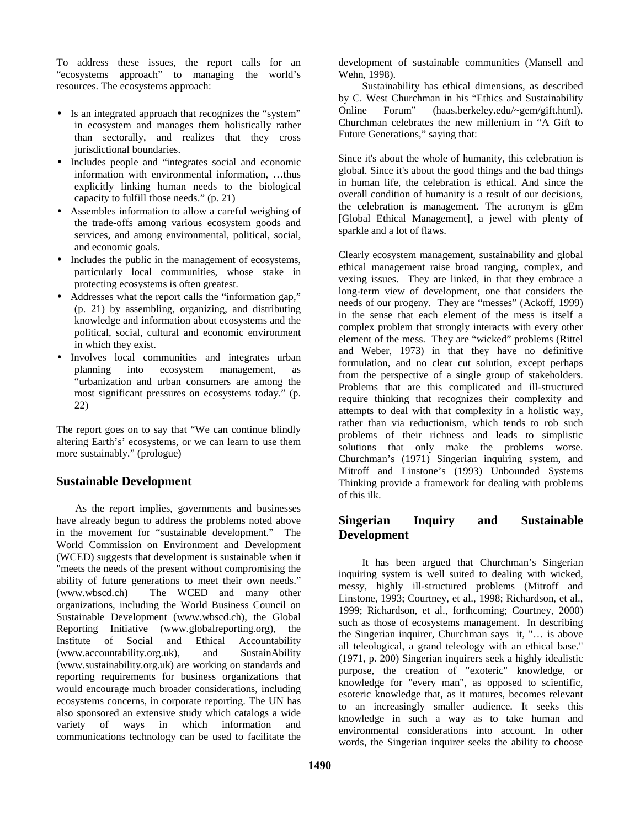To address these issues, the report calls for an "ecosystems approach" to managing the world's resources. The ecosystems approach:

- Is an integrated approach that recognizes the "system" in ecosystem and manages them holistically rather than sectorally, and realizes that they cross jurisdictional boundaries.
- Includes people and "integrates social and economic information with environmental information, …thus explicitly linking human needs to the biological capacity to fulfill those needs." (p. 21)
- Assembles information to allow a careful weighing of the trade-offs among various ecosystem goods and services, and among environmental, political, social, and economic goals.
- Includes the public in the management of ecosystems, particularly local communities, whose stake in protecting ecosystems is often greatest.
- Addresses what the report calls the "information gap," (p. 21) by assembling, organizing, and distributing knowledge and information about ecosystems and the political, social, cultural and economic environment in which they exist.
- Involves local communities and integrates urban planning into ecosystem management, as "urbanization and urban consumers are among the most significant pressures on ecosystems today." (p. 22)

The report goes on to say that "We can continue blindly altering Earth's' ecosystems, or we can learn to use them more sustainably." (prologue)

## **Sustainable Development**

As the report implies, governments and businesses have already begun to address the problems noted above in the movement for "sustainable development." The World Commission on Environment and Development (WCED) suggests that development is sustainable when it "meets the needs of the present without compromising the ability of future generations to meet their own needs."<br>(www.wbscd.ch) The WCED and many other The WCED and many other organizations, including the World Business Council on Sustainable Development (www.wbscd.ch), the Global Reporting Initiative (www.globalreporting.org), the Institute of Social and Ethical Accountability (www.accountability.org.uk), and SustainAbility (www.sustainability.org.uk) are working on standards and reporting requirements for business organizations that would encourage much broader considerations, including ecosystems concerns, in corporate reporting. The UN has also sponsored an extensive study which catalogs a wide<br>variety of ways in which information and variety of ways in which information and communications technology can be used to facilitate the

development of sustainable communities (Mansell and Wehn, 1998).

 Sustainability has ethical dimensions, as described by C. West Churchman in his "Ethics and Sustainability Online Forum" (haas.berkeley.edu/~gem/gift.html). Churchman celebrates the new millenium in "A Gift to Future Generations," saying that:

Since it's about the whole of humanity, this celebration is global. Since it's about the good things and the bad things in human life, the celebration is ethical. And since the overall condition of humanity is a result of our decisions, the celebration is management. The acronym is gEm [Global Ethical Management], a jewel with plenty of sparkle and a lot of flaws.

Clearly ecosystem management, sustainability and global ethical management raise broad ranging, complex, and vexing issues. They are linked, in that they embrace a long-term view of development, one that considers the needs of our progeny. They are "messes" (Ackoff, 1999) in the sense that each element of the mess is itself a complex problem that strongly interacts with every other element of the mess. They are "wicked" problems (Rittel and Weber, 1973) in that they have no definitive formulation, and no clear cut solution, except perhaps from the perspective of a single group of stakeholders. Problems that are this complicated and ill-structured require thinking that recognizes their complexity and attempts to deal with that complexity in a holistic way, rather than via reductionism, which tends to rob such problems of their richness and leads to simplistic solutions that only make the problems worse. Churchman's (1971) Singerian inquiring system, and Mitroff and Linstone's (1993) Unbounded Systems Thinking provide a framework for dealing with problems of this ilk.

## **Singerian Inquiry and Sustainable Development**

 It has been argued that Churchman's Singerian inquiring system is well suited to dealing with wicked, messy, highly ill-structured problems (Mitroff and Linstone, 1993; Courtney, et al., 1998; Richardson, et al., 1999; Richardson, et al., forthcoming; Courtney, 2000) such as those of ecosystems management. In describing the Singerian inquirer, Churchman says it, "… is above all teleological, a grand teleology with an ethical base." (1971, p. 200) Singerian inquirers seek a highly idealistic purpose, the creation of "exoteric" knowledge, or knowledge for "every man", as opposed to scientific, esoteric knowledge that, as it matures, becomes relevant to an increasingly smaller audience. It seeks this knowledge in such a way as to take human and environmental considerations into account. In other words, the Singerian inquirer seeks the ability to choose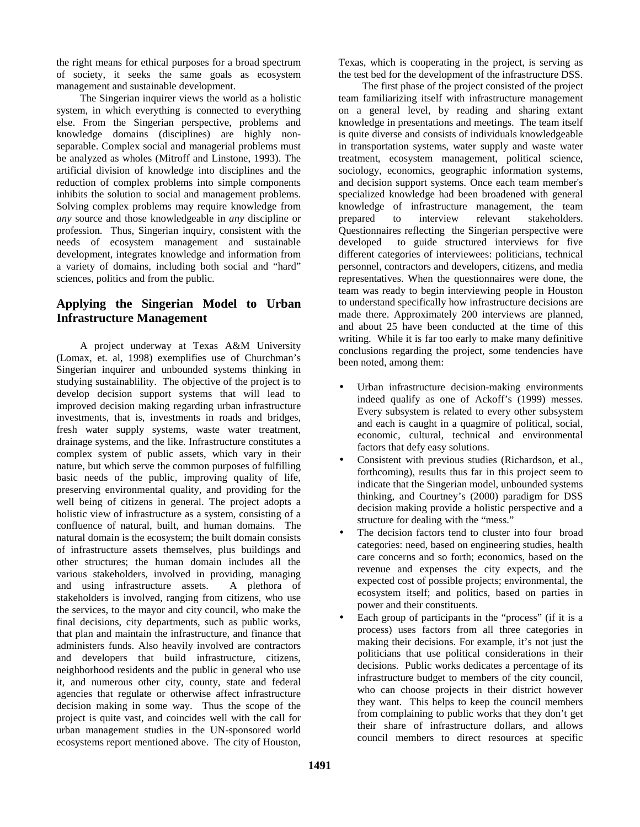the right means for ethical purposes for a broad spectrum of society, it seeks the same goals as ecosystem management and sustainable development.

 The Singerian inquirer views the world as a holistic system, in which everything is connected to everything else. From the Singerian perspective, problems and knowledge domains (disciplines) are highly nonseparable. Complex social and managerial problems must be analyzed as wholes (Mitroff and Linstone, 1993). The artificial division of knowledge into disciplines and the reduction of complex problems into simple components inhibits the solution to social and management problems. Solving complex problems may require knowledge from *any* source and those knowledgeable in *any* discipline or profession. Thus, Singerian inquiry, consistent with the needs of ecosystem management and sustainable development, integrates knowledge and information from a variety of domains, including both social and "hard" sciences, politics and from the public.

# **Applying the Singerian Model to Urban Infrastructure Management**

 A project underway at Texas A&M University (Lomax, et. al, 1998) exemplifies use of Churchman's Singerian inquirer and unbounded systems thinking in studying sustainablility. The objective of the project is to develop decision support systems that will lead to improved decision making regarding urban infrastructure investments, that is, investments in roads and bridges, fresh water supply systems, waste water treatment, drainage systems, and the like. Infrastructure constitutes a complex system of public assets, which vary in their nature, but which serve the common purposes of fulfilling basic needs of the public, improving quality of life, preserving environmental quality, and providing for the well being of citizens in general. The project adopts a holistic view of infrastructure as a system, consisting of a confluence of natural, built, and human domains. The natural domain is the ecosystem; the built domain consists of infrastructure assets themselves, plus buildings and other structures; the human domain includes all the various stakeholders, involved in providing, managing and using infrastructure assets. A plethora of stakeholders is involved, ranging from citizens, who use the services, to the mayor and city council, who make the final decisions, city departments, such as public works, that plan and maintain the infrastructure, and finance that administers funds. Also heavily involved are contractors and developers that build infrastructure, citizens, neighborhood residents and the public in general who use it, and numerous other city, county, state and federal agencies that regulate or otherwise affect infrastructure decision making in some way. Thus the scope of the project is quite vast, and coincides well with the call for urban management studies in the UN-sponsored world ecosystems report mentioned above. The city of Houston,

Texas, which is cooperating in the project, is serving as the test bed for the development of the infrastructure DSS.

 The first phase of the project consisted of the project team familiarizing itself with infrastructure management on a general level, by reading and sharing extant knowledge in presentations and meetings. The team itself is quite diverse and consists of individuals knowledgeable in transportation systems, water supply and waste water treatment, ecosystem management, political science, sociology, economics, geographic information systems, and decision support systems. Once each team member's specialized knowledge had been broadened with general knowledge of infrastructure management, the team prepared to interview relevant stakeholders. Questionnaires reflecting the Singerian perspective were developed to guide structured interviews for five different categories of interviewees: politicians, technical personnel, contractors and developers, citizens, and media representatives. When the questionnaires were done, the team was ready to begin interviewing people in Houston to understand specifically how infrastructure decisions are made there. Approximately 200 interviews are planned, and about 25 have been conducted at the time of this writing. While it is far too early to make many definitive conclusions regarding the project, some tendencies have been noted, among them:

- Urban infrastructure decision-making environments indeed qualify as one of Ackoff's (1999) messes. Every subsystem is related to every other subsystem and each is caught in a quagmire of political, social, economic, cultural, technical and environmental factors that defy easy solutions.
- Consistent with previous studies (Richardson, et al., forthcoming), results thus far in this project seem to indicate that the Singerian model, unbounded systems thinking, and Courtney's (2000) paradigm for DSS decision making provide a holistic perspective and a structure for dealing with the "mess."
- The decision factors tend to cluster into four broad categories: need, based on engineering studies, health care concerns and so forth; economics, based on the revenue and expenses the city expects, and the expected cost of possible projects; environmental, the ecosystem itself; and politics, based on parties in power and their constituents.
- Each group of participants in the "process" (if it is a process) uses factors from all three categories in making their decisions. For example, it's not just the politicians that use political considerations in their decisions. Public works dedicates a percentage of its infrastructure budget to members of the city council, who can choose projects in their district however they want. This helps to keep the council members from complaining to public works that they don't get their share of infrastructure dollars, and allows council members to direct resources at specific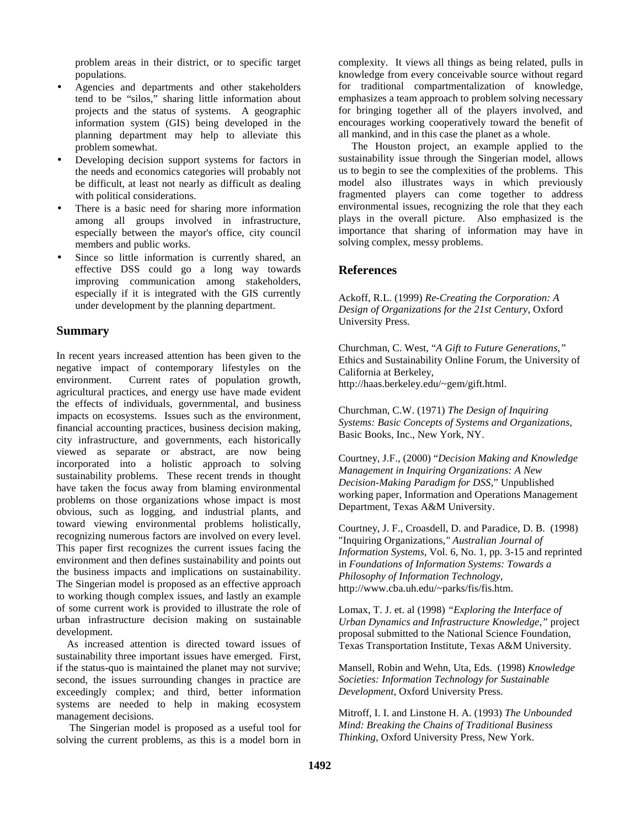problem areas in their district, or to specific target populations.

- Agencies and departments and other stakeholders tend to be "silos," sharing little information about projects and the status of systems. A geographic information system (GIS) being developed in the planning department may help to alleviate this problem somewhat.
- Developing decision support systems for factors in the needs and economics categories will probably not be difficult, at least not nearly as difficult as dealing with political considerations.
- There is a basic need for sharing more information among all groups involved in infrastructure, especially between the mayor's office, city council members and public works.
- Since so little information is currently shared, an effective DSS could go a long way towards improving communication among stakeholders, especially if it is integrated with the GIS currently under development by the planning department.

#### **Summary**

In recent years increased attention has been given to the negative impact of contemporary lifestyles on the environment. Current rates of population growth, agricultural practices, and energy use have made evident the effects of individuals, governmental, and business impacts on ecosystems. Issues such as the environment, financial accounting practices, business decision making, city infrastructure, and governments, each historically viewed as separate or abstract, are now being incorporated into a holistic approach to solving sustainability problems. These recent trends in thought have taken the focus away from blaming environmental problems on those organizations whose impact is most obvious, such as logging, and industrial plants, and toward viewing environmental problems holistically, recognizing numerous factors are involved on every level. This paper first recognizes the current issues facing the environment and then defines sustainability and points out the business impacts and implications on sustainability. The Singerian model is proposed as an effective approach to working though complex issues, and lastly an example of some current work is provided to illustrate the role of urban infrastructure decision making on sustainable development.

 As increased attention is directed toward issues of sustainability three important issues have emerged. First, if the status-quo is maintained the planet may not survive; second, the issues surrounding changes in practice are exceedingly complex; and third, better information systems are needed to help in making ecosystem management decisions.

 The Singerian model is proposed as a useful tool for solving the current problems, as this is a model born in complexity. It views all things as being related, pulls in knowledge from every conceivable source without regard for traditional compartmentalization of knowledge, emphasizes a team approach to problem solving necessary for bringing together all of the players involved, and encourages working cooperatively toward the benefit of all mankind, and in this case the planet as a whole.

 The Houston project, an example applied to the sustainability issue through the Singerian model, allows us to begin to see the complexities of the problems. This model also illustrates ways in which previously fragmented players can come together to address environmental issues, recognizing the role that they each plays in the overall picture. Also emphasized is the importance that sharing of information may have in solving complex, messy problems.

#### **References**

Ackoff, R.L. (1999) *Re-Creating the Corporation: A Design of Organizations for the 21st Century*, Oxford University Press.

Churchman, C. West, "*A Gift to Future Generations,"*  Ethics and Sustainability Online Forum, the University of California at Berkeley, http://haas.berkeley.edu/~gem/gift.html.

Churchman, C.W. (1971) *The Design of Inquiring Systems: Basic Concepts of Systems and Organizations,* Basic Books, Inc., New York, NY.

Courtney, J.F., (2000) "*Decision Making and Knowledge Management in Inquiring Organizations: A New Decision-Making Paradigm for DSS*," Unpublished working paper, Information and Operations Management Department, Texas A&M University.

Courtney, J. F., Croasdell, D. and Paradice, D. B. (1998) "Inquiring Organizations*," Australian Journal of Information Systems*, Vol. 6, No. 1, pp. 3-15 and reprinted in *Foundations of Information Systems: Towards a Philosophy of Information Technology*, http://www.cba.uh.edu/~parks/fis/fis.htm.

Lomax, T. J. et. al (1998) *"Exploring the Interface of Urban Dynamics and Infrastructure Knowledge,"* project proposal submitted to the National Science Foundation, Texas Transportation Institute, Texas A&M University.

Mansell, Robin and Wehn, Uta, Eds. (1998) *Knowledge Societies: Information Technology for Sustainable Development,* Oxford University Press.

Mitroff, I. I. and Linstone H. A. (1993) *The Unbounded Mind: Breaking the Chains of Traditional Business Thinking,* Oxford University Press, New York.